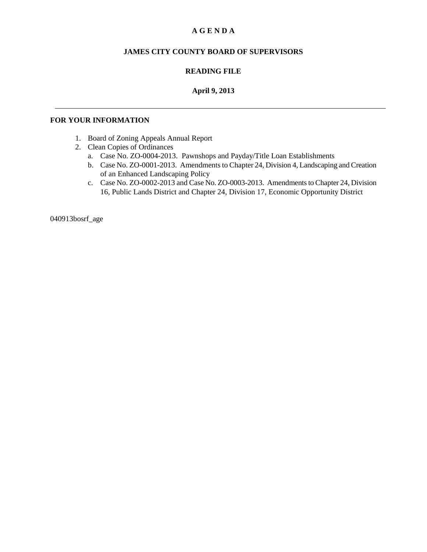### **A G E N D A**

### **JAMES CITY COUNTY BOARD OF SUPERVISORS**

### **READING FILE**

### **April 9, 2013**

### **FOR YOUR INFORMATION**

- 1. Board of Zoning Appeals Annual Report
- 2. Clean Copies of Ordinances
	- a. Case No. ZO-0004-2013. Pawnshops and Payday/Title Loan Establishments
	- b. Case No. ZO-0001-2013. Amendments to Chapter 24, Division 4, Landscaping and Creation of an Enhanced Landscaping Policy
	- c. Case No. ZO-0002-2013 and Case No. ZO-0003-2013. Amendments to Chapter 24, Division 16, Public Lands District and Chapter 24, Division 17, Economic Opportunity District

040913bosrf\_age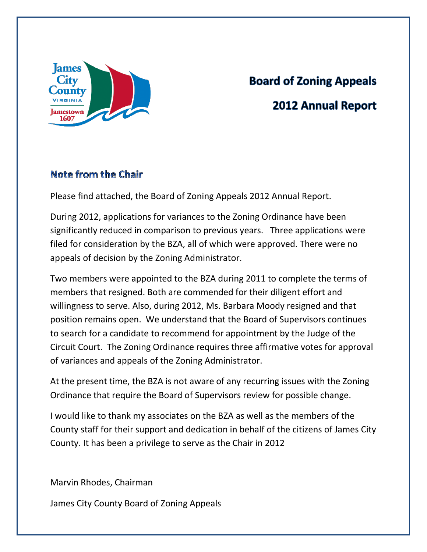

# **Board of Zoning Appeals 2012 Annual Report**

# Note from the Chair

Please find attached, the Board of Zoning Appeals 2012 Annual Report.

During 2012, applications for variances to the Zoning Ordinance have been significantly reduced in comparison to previous years. Three applications were filed for consideration by the BZA, all of which were approved. There were no appeals of decision by the Zoning Administrator.

Two members were appointed to the BZA during 2011 to complete the terms of members that resigned. Both are commended for their diligent effort and willingness to serve. Also, during 2012, Ms. Barbara Moody resigned and that position remains open. We understand that the Board of Supervisors continues to search for a candidate to recommend for appointment by the Judge of the Circuit Court. The Zoning Ordinance requires three affirmative votes for approval of variances and appeals of the Zoning Administrator.

At the present time, the BZA is not aware of any recurring issues with the Zoning Ordinance that require the Board of Supervisors review for possible change.

I would like to thank my associates on the BZA as well as the members of the County staff for their support and dedication in behalf of the citizens of James City County. It has been a privilege to serve as the Chair in 2012

Marvin Rhodes, Chairman

James City County Board of Zoning Appeals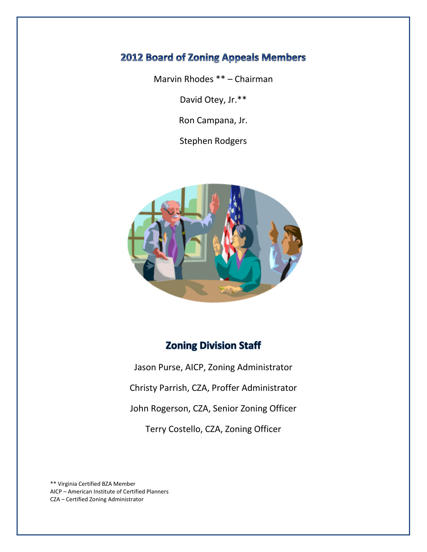# 2012 Board of Zoning Appeals Members

Marvin Rhodes \*\* – Chairman

David Otey, Jr.\*\*

Ron Campana, Jr.

Stephen Rodgers



# **Zoning Division Staff**

Jason Purse, AICP, Zoning Administrator Christy Parrish, CZA, Proffer Administrator John Rogerson, CZA, Senior Zoning Officer Terry Costello, CZA, Zoning Officer

\*\* Virginia Certified BZA Member AICP – American Institute of Certified Planners CZA – Certified Zoning Administrator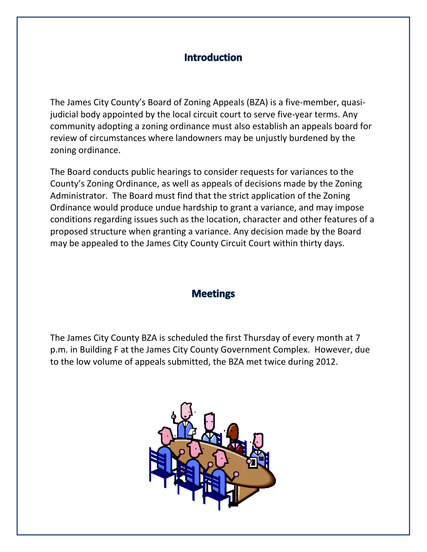# **Introduction**

The James City County's Board of Zoning Appeals (BZA) is a five-member, quasijudicial body appointed by the local circuit court to serve five-year terms. Any community adopting a zoning ordinance must also establish an appeals board for review of circumstances where landowners may be unjustly burdened by the zoning ordinance.

The Board conducts public hearings to consider requests for variances to the County's Zoning Ordinance, as well as appeals of decisions made by the Zoning Administrator. The Board must find that the strict application of the Zoning Ordinance would produce undue hardship to grant a variance, and may impose conditions regarding issues such as the location, character and other features of a proposed structure when granting a variance. Any decision made by the Board may be appealed to the James City County Circuit Court within thirty days.

## **Meetings**

The James City County BZA is scheduled the first Thursday of every month at 7 p.m. in Building F at the James City County Government Complex. However, due to the low volume of appeals submitted, the BZA met twice during 2012.

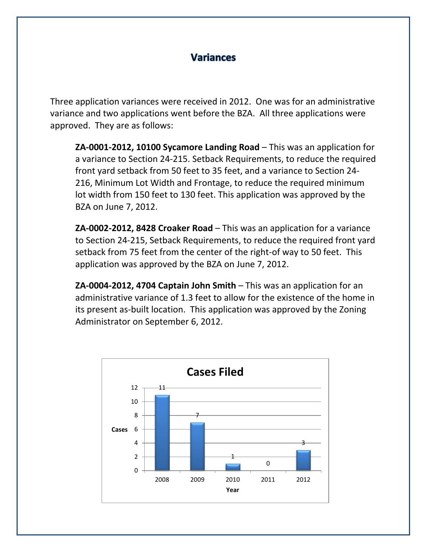# **Variances**

Three application variances were received in 2012. One was for an administrative variance and two applications went before the BZA. All three applications were approved. They are as follows:

**ZA-0001-2012, 10100 Sycamore Landing Road** – This was an application for a variance to Section 24-215. Setback Requirements, to reduce the required front yard setback from 50 feet to 35 feet, and a variance to Section 24- 216, Minimum Lot Width and Frontage, to reduce the required minimum lot width from 150 feet to 130 feet. This application was approved by the BZA on June 7, 2012.

**ZA-0002-2012, 8428 Croaker Road** – This was an application for a variance to Section 24-215, Setback Requirements, to reduce the required front yard setback from 75 feet from the center of the right-of way to 50 feet. This application was approved by the BZA on June 7, 2012.

**ZA-0004-2012, 4704 Captain John Smith** – This was an application for an administrative variance of 1.3 feet to allow for the existence of the home in its present as-built location. This application was approved by the Zoning Administrator on September 6, 2012.

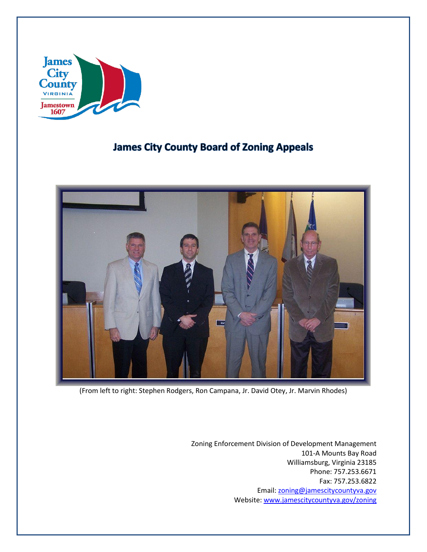

# **James City County Board of Zoning Appeals**



(From left to right: Stephen Rodgers, Ron Campana, Jr. David Otey, Jr. Marvin Rhodes)

Zoning Enforcement Division of Development Management 101-A Mounts Bay Road Williamsburg, Virginia 23185 Phone: 757.253.6671 Fax: 757.253.6822 Email: [zoning@jamescitycountyva.gov](mailto:zoning@jamescitycountyva.gov) Website: [www.jamescitycountyva.gov/zoning](http://www.jamescitycountyva.gov/zoning)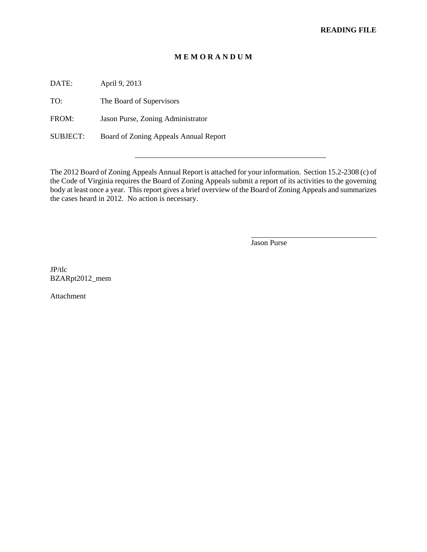### **M E M O R A N D U M**

DATE: April 9, 2013

TO: The Board of Supervisors

FROM: Jason Purse, Zoning Administrator

SUBJECT: Board of Zoning Appeals Annual Report

The 2012 Board of Zoning Appeals Annual Report is attached for your information. Section 15.2-2308 (c) of the Code of Virginia requires the Board of Zoning Appeals submit a report of its activities to the governing body at least once a year. This report gives a brief overview of the Board of Zoning Appeals and summarizes the cases heard in 2012. No action is necessary.

Jason Purse

 $\overline{a}$ 

JP/tlc BZARpt2012\_mem

Attachment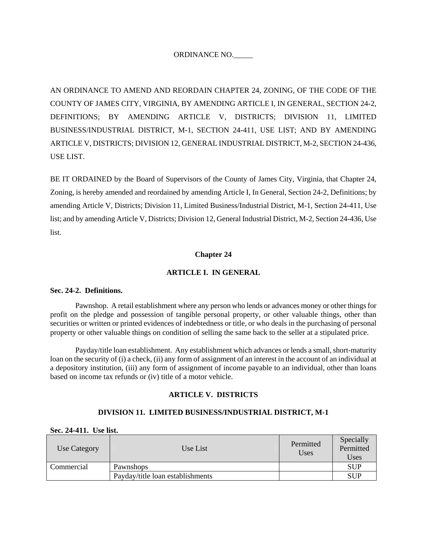### ORDINANCE NO.\_\_\_\_\_

AN ORDINANCE TO AMEND AND REORDAIN CHAPTER 24, ZONING, OF THE CODE OF THE COUNTY OF JAMES CITY, VIRGINIA, BY AMENDING ARTICLE I, IN GENERAL, SECTION 24-2, DEFINITIONS; BY AMENDING ARTICLE V, DISTRICTS; DIVISION 11, LIMITED BUSINESS/INDUSTRIAL DISTRICT, M-1, SECTION 24-411, USE LIST; AND BY AMENDING ARTICLE V, DISTRICTS; DIVISION 12, GENERAL INDUSTRIAL DISTRICT, M-2, SECTION 24-436, USE LIST.

BE IT ORDAINED by the Board of Supervisors of the County of James City, Virginia, that Chapter 24, Zoning, is hereby amended and reordained by amending Article I, In General, Section 24-2, Definitions; by amending Article V, Districts; Division 11, Limited Business/Industrial District, M-1, Section 24-411, Use list; and by amending Article V, Districts; Division 12, General Industrial District, M-2, Section 24-436, Use list.

### **Chapter 24**

### **ARTICLE I. IN GENERAL**

### **Sec. 24-2. Definitions.**

Pawnshop. A retail establishment where any person who lends or advances money or other things for profit on the pledge and possession of tangible personal property, or other valuable things, other than securities or written or printed evidences of indebtedness or title, or who deals in the purchasing of personal property or other valuable things on condition of selling the same back to the seller at a stipulated price.

Payday/title loan establishment. Any establishment which advances or lends a small, short-maturity loan on the security of (i) a check, (ii) any form of assignment of an interest in the account of an individual at a depository institution, (iii) any form of assignment of income payable to an individual, other than loans based on income tax refunds or (iv) title of a motor vehicle.

### **ARTICLE V. DISTRICTS**

#### **DIVISION 11. LIMITED BUSINESS/INDUSTRIAL DISTRICT, M-1**

#### **Sec. 24-411. Use list.**

| Use Category | Use List                         | Permitted<br>Uses | Specially<br>Permitted<br>Uses |
|--------------|----------------------------------|-------------------|--------------------------------|
| Commercial   | Pawnshops                        |                   | <b>SUP</b>                     |
|              | Payday/title loan establishments |                   | <b>SUP</b>                     |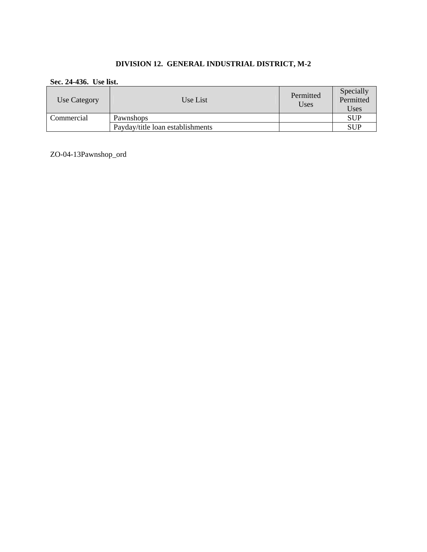### **DIVISION 12. GENERAL INDUSTRIAL DISTRICT, M-2**

### **Sec. 24-436. Use list.**

| Use Category | Use List                         | Permitted<br>Uses | Specially<br>Permitted<br>Uses |
|--------------|----------------------------------|-------------------|--------------------------------|
| Commercial   | Pawnshops                        |                   | <b>SUP</b>                     |
|              | Payday/title loan establishments |                   | <b>SUP</b>                     |

ZO-04-13Pawnshop\_ord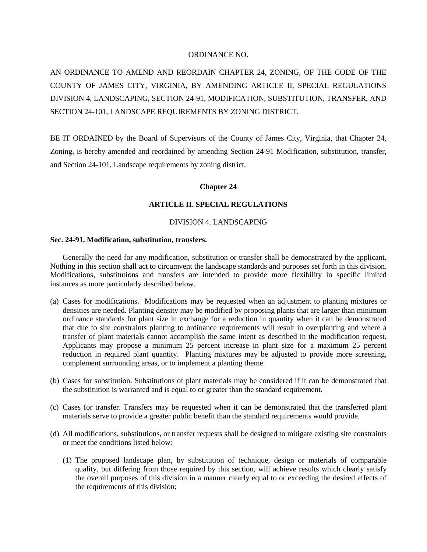### ORDINANCE NO.

AN ORDINANCE TO AMEND AND REORDAIN CHAPTER 24, ZONING, OF THE CODE OF THE COUNTY OF JAMES CITY, VIRGINIA, BY AMENDING ARTICLE II, SPECIAL REGULATIONS DIVISION 4, LANDSCAPING, SECTION 24-91, MODIFICATION, SUBSTITUTION, TRANSFER, AND SECTION 24-101, LANDSCAPE REQUIREMENTS BY ZONING DISTRICT.

BE IT ORDAINED by the Board of Supervisors of the County of James City, Virginia, that Chapter 24, Zoning, is hereby amended and reordained by amending Section 24-91 Modification, substitution, transfer, and Section 24-101, Landscape requirements by zoning district.

#### **Chapter 24**

#### **ARTICLE II. SPECIAL REGULATIONS**

### DIVISION 4. LANDSCAPING

#### **Sec. 24-91. Modification, substitution, transfers.**

Generally the need for any modification, substitution or transfer shall be demonstrated by the applicant. Nothing in this section shall act to circumvent the landscape standards and purposes set forth in this division. Modifications, substitutions and transfers are intended to provide more flexibility in specific limited instances as more particularly described below.

- (a) Cases for modifications. Modifications may be requested when an adjustment to planting mixtures or densities are needed. Planting density may be modified by proposing plants that are larger than minimum ordinance standards for plant size in exchange for a reduction in quantity when it can be demonstrated that due to site constraints planting to ordinance requirements will result in overplanting and where a transfer of plant materials cannot accomplish the same intent as described in the modification request. Applicants may propose a minimum 25 percent increase in plant size for a maximum 25 percent reduction in required plant quantity. Planting mixtures may be adjusted to provide more screening, complement surrounding areas, or to implement a planting theme.
- (b) Cases for substitution. Substitutions of plant materials may be considered if it can be demonstrated that the substitution is warranted and is equal to or greater than the standard requirement.
- (c) Cases for transfer. Transfers may be requested when it can be demonstrated that the transferred plant materials serve to provide a greater public benefit than the standard requirements would provide.
- (d) All modifications, substitutions, or transfer requests shall be designed to mitigate existing site constraints or meet the conditions listed below:
	- (1) The proposed landscape plan, by substitution of technique, design or materials of comparable quality, but differing from those required by this section, will achieve results which clearly satisfy the overall purposes of this division in a manner clearly equal to or exceeding the desired effects of the requirements of this division;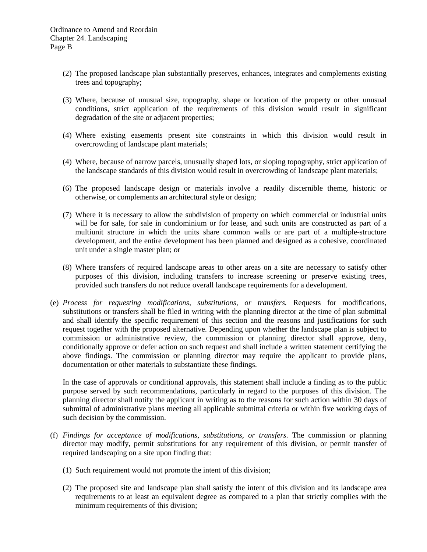- (2) The proposed landscape plan substantially preserves, enhances, integrates and complements existing trees and topography;
- (3) Where, because of unusual size, topography, shape or location of the property or other unusual conditions, strict application of the requirements of this division would result in significant degradation of the site or adjacent properties;
- (4) Where existing easements present site constraints in which this division would result in overcrowding of landscape plant materials;
- (4) Where, because of narrow parcels, unusually shaped lots, or sloping topography, strict application of the landscape standards of this division would result in overcrowding of landscape plant materials;
- (6) The proposed landscape design or materials involve a readily discernible theme, historic or otherwise, or complements an architectural style or design;
- (7) Where it is necessary to allow the subdivision of property on which commercial or industrial units will be for sale, for sale in condominium or for lease, and such units are constructed as part of a multiunit structure in which the units share common walls or are part of a multiple-structure development, and the entire development has been planned and designed as a cohesive, coordinated unit under a single master plan; or
- (8) Where transfers of required landscape areas to other areas on a site are necessary to satisfy other purposes of this division, including transfers to increase screening or preserve existing trees, provided such transfers do not reduce overall landscape requirements for a development.
- (e) *Process for requesting modifications, substitutions, or transfers.* Requests for modifications, substitutions or transfers shall be filed in writing with the planning director at the time of plan submittal and shall identify the specific requirement of this section and the reasons and justifications for such request together with the proposed alternative. Depending upon whether the landscape plan is subject to commission or administrative review, the commission or planning director shall approve, deny, conditionally approve or defer action on such request and shall include a written statement certifying the above findings. The commission or planning director may require the applicant to provide plans, documentation or other materials to substantiate these findings.

In the case of approvals or conditional approvals, this statement shall include a finding as to the public purpose served by such recommendations, particularly in regard to the purposes of this division. The planning director shall notify the applicant in writing as to the reasons for such action within 30 days of submittal of administrative plans meeting all applicable submittal criteria or within five working days of such decision by the commission.

- (f) *Findings for acceptance of modifications, substitutions, or transfers*. The commission or planning director may modify, permit substitutions for any requirement of this division, or permit transfer of required landscaping on a site upon finding that:
	- (1) Such requirement would not promote the intent of this division;
	- (2) The proposed site and landscape plan shall satisfy the intent of this division and its landscape area requirements to at least an equivalent degree as compared to a plan that strictly complies with the minimum requirements of this division;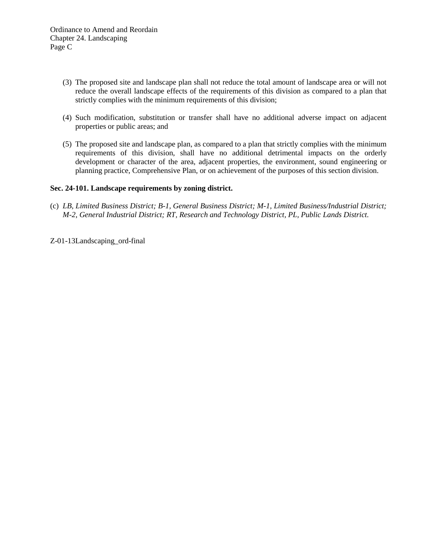- (3) The proposed site and landscape plan shall not reduce the total amount of landscape area or will not reduce the overall landscape effects of the requirements of this division as compared to a plan that strictly complies with the minimum requirements of this division;
- (4) Such modification, substitution or transfer shall have no additional adverse impact on adjacent properties or public areas; and
- (5) The proposed site and landscape plan, as compared to a plan that strictly complies with the minimum requirements of this division, shall have no additional detrimental impacts on the orderly development or character of the area, adjacent properties, the environment, sound engineering or planning practice, Comprehensive Plan, or on achievement of the purposes of this section division.

### **Sec. 24-101. Landscape requirements by zoning district.**

- (c) *LB, Limited Business District; B-1, General Business District; M-1, Limited Business/Industrial District; M-2, General Industrial District; RT, Research and Technology District, PL, Public Lands District.*
- Z-01-13Landscaping\_ord-final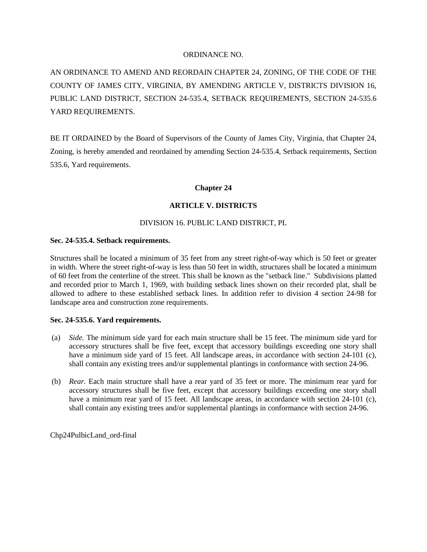### ORDINANCE NO.

AN ORDINANCE TO AMEND AND REORDAIN CHAPTER 24, ZONING, OF THE CODE OF THE COUNTY OF JAMES CITY, VIRGINIA, BY AMENDING ARTICLE V, DISTRICTS DIVISION 16, PUBLIC LAND DISTRICT, SECTION 24-535.4, SETBACK REQUIREMENTS, SECTION 24-535.6 YARD REQUIREMENTS.

BE IT ORDAINED by the Board of Supervisors of the County of James City, Virginia, that Chapter 24, Zoning, is hereby amended and reordained by amending Section 24-535.4, Setback requirements, Section 535.6, Yard requirements.

### **Chapter 24**

### **ARTICLE V. DISTRICTS**

### DIVISION 16. PUBLIC LAND DISTRICT, PL

### **Sec. 24-535.4. Setback requirements.**

Structures shall be located a minimum of 35 feet from any street right-of-way which is 50 feet or greater in width. Where the street right-of-way is less than 50 feet in width, structures shall be located a minimum of 60 feet from the centerline of the street. This shall be known as the "setback line." Subdivisions platted and recorded prior to March 1, 1969, with building setback lines shown on their recorded plat, shall be allowed to adhere to these established setback lines. In addition refer to division 4 section 24-98 for landscape area and construction zone requirements.

### **Sec. 24-535.6. Yard requirements.**

- (a) *Side.* The minimum side yard for each main structure shall be 15 feet. The minimum side yard for accessory structures shall be five feet, except that accessory buildings exceeding one story shall have a minimum side yard of 15 feet. All landscape areas, in accordance with section 24-101 (c), shall contain any existing trees and/or supplemental plantings in conformance with section 24-96.
- (b) *Rear.* Each main structure shall have a rear yard of 35 feet or more. The minimum rear yard for accessory structures shall be five feet, except that accessory buildings exceeding one story shall have a minimum rear yard of 15 feet. All landscape areas, in accordance with section 24-101 (c), shall contain any existing trees and/or supplemental plantings in conformance with section 24-96.

Chp24PulbicLand\_ord-final